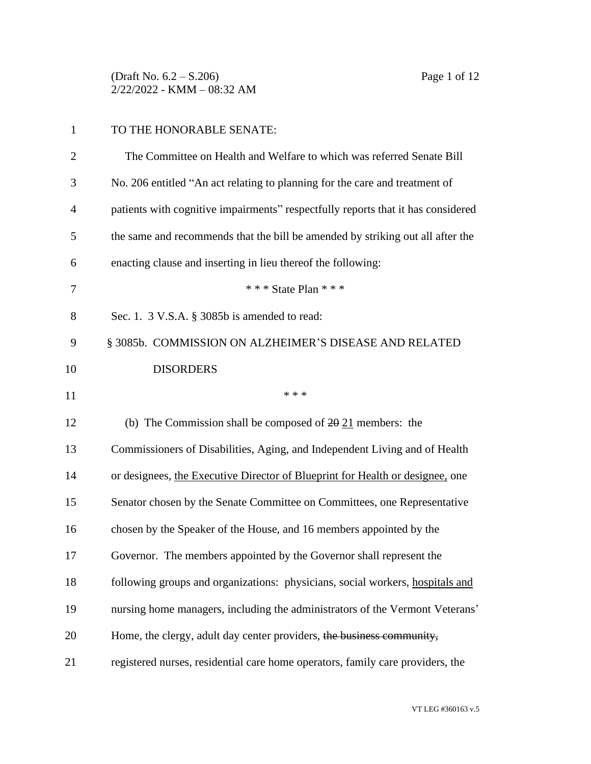(Draft No. 6.2 – S.206) Page 1 of 12 2/22/2022 - KMM – 08:32 AM

| $\mathbf{1}$   | TO THE HONORABLE SENATE:                                                         |
|----------------|----------------------------------------------------------------------------------|
| $\overline{2}$ | The Committee on Health and Welfare to which was referred Senate Bill            |
| 3              | No. 206 entitled "An act relating to planning for the care and treatment of      |
| 4              | patients with cognitive impairments" respectfully reports that it has considered |
| 5              | the same and recommends that the bill be amended by striking out all after the   |
| 6              | enacting clause and inserting in lieu thereof the following:                     |
| 7              | * * * State Plan * * *                                                           |
| 8              | Sec. 1. 3 V.S.A. § 3085b is amended to read:                                     |
| 9              | § 3085b. COMMISSION ON ALZHEIMER'S DISEASE AND RELATED                           |
| 10             | <b>DISORDERS</b>                                                                 |
| 11             | * * *                                                                            |
| 12             | (b) The Commission shall be composed of $20\overline{21}$ members: the           |
| 13             | Commissioners of Disabilities, Aging, and Independent Living and of Health       |
| 14             | or designees, the Executive Director of Blueprint for Health or designee, one    |
| 15             | Senator chosen by the Senate Committee on Committees, one Representative         |
| 16             | chosen by the Speaker of the House, and 16 members appointed by the              |
| 17             | Governor. The members appointed by the Governor shall represent the              |
| 18             | following groups and organizations: physicians, social workers, hospitals and    |
| 19             | nursing home managers, including the administrators of the Vermont Veterans'     |
| 20             | Home, the clergy, adult day center providers, the business community,            |
| 21             | registered nurses, residential care home operators, family care providers, the   |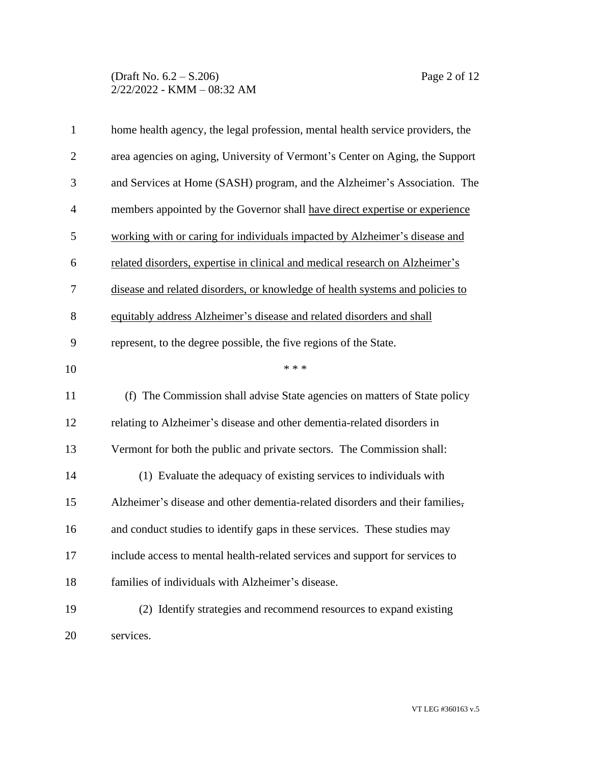# (Draft No. 6.2 – S.206) Page 2 of 12 2/22/2022 - KMM – 08:32 AM

| $\mathbf{1}$   | home health agency, the legal profession, mental health service providers, the |
|----------------|--------------------------------------------------------------------------------|
| $\overline{2}$ | area agencies on aging, University of Vermont's Center on Aging, the Support   |
| 3              | and Services at Home (SASH) program, and the Alzheimer's Association. The      |
| $\overline{4}$ | members appointed by the Governor shall have direct expertise or experience    |
| 5              | working with or caring for individuals impacted by Alzheimer's disease and     |
| 6              | related disorders, expertise in clinical and medical research on Alzheimer's   |
| 7              | disease and related disorders, or knowledge of health systems and policies to  |
| 8              | equitably address Alzheimer's disease and related disorders and shall          |
| 9              | represent, to the degree possible, the five regions of the State.              |
| 10             | * * *                                                                          |
| 11             | (f) The Commission shall advise State agencies on matters of State policy      |
| 12             | relating to Alzheimer's disease and other dementia-related disorders in        |
| 13             | Vermont for both the public and private sectors. The Commission shall:         |
| 14             | (1) Evaluate the adequacy of existing services to individuals with             |
| 15             | Alzheimer's disease and other dementia-related disorders and their families,   |
| 16             | and conduct studies to identify gaps in these services. These studies may      |
| 17             | include access to mental health-related services and support for services to   |
| 18             | families of individuals with Alzheimer's disease.                              |
| 19             | (2) Identify strategies and recommend resources to expand existing             |
| 20             | services.                                                                      |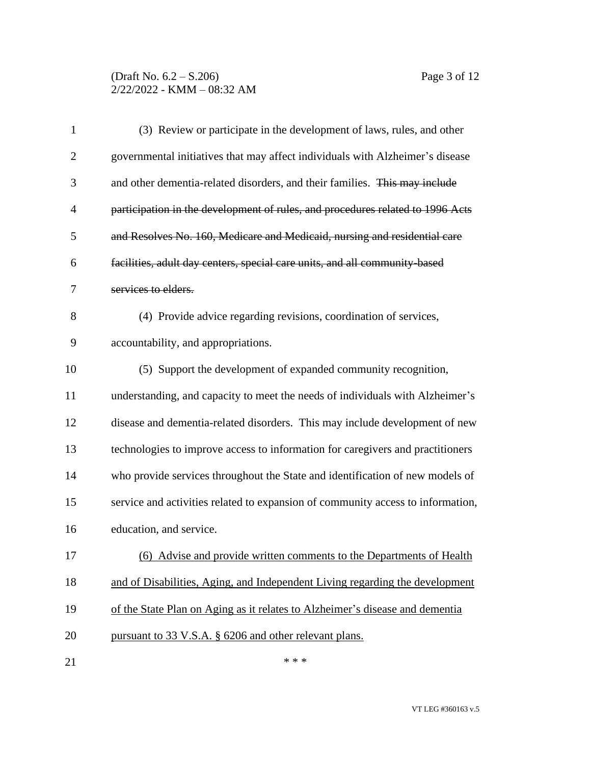# (Draft No. 6.2 – S.206) Page 3 of 12 2/22/2022 - KMM – 08:32 AM

| $\mathbf{1}$   | (3) Review or participate in the development of laws, rules, and other          |
|----------------|---------------------------------------------------------------------------------|
| $\overline{2}$ | governmental initiatives that may affect individuals with Alzheimer's disease   |
| 3              | and other dementia-related disorders, and their families. This may include      |
| $\overline{4}$ | participation in the development of rules, and procedures related to 1996 Acts  |
| 5              | and Resolves No. 160, Medicare and Medicaid, nursing and residential care       |
| 6              | facilities, adult day centers, special care units, and all community based      |
| 7              | services to elders.                                                             |
| 8              | (4) Provide advice regarding revisions, coordination of services,               |
| 9              | accountability, and appropriations.                                             |
| 10             | (5) Support the development of expanded community recognition,                  |
| 11             | understanding, and capacity to meet the needs of individuals with Alzheimer's   |
| 12             | disease and dementia-related disorders. This may include development of new     |
| 13             | technologies to improve access to information for caregivers and practitioners  |
| 14             | who provide services throughout the State and identification of new models of   |
| 15             | service and activities related to expansion of community access to information, |
| 16             | education, and service.                                                         |
| 17             | (6) Advise and provide written comments to the Departments of Health            |
| 18             | and of Disabilities, Aging, and Independent Living regarding the development    |
| 19             | of the State Plan on Aging as it relates to Alzheimer's disease and dementia    |
| 20             | pursuant to 33 V.S.A. § 6206 and other relevant plans.                          |
| 21             | * * *                                                                           |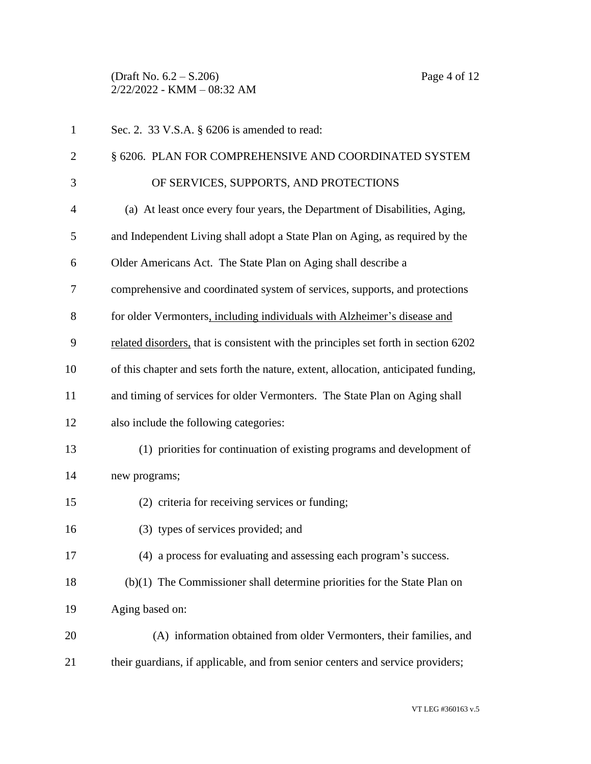(Draft No. 6.2 – S.206) Page 4 of 12 2/22/2022 - KMM – 08:32 AM

| $\mathbf{1}$   | Sec. 2. 33 V.S.A. § 6206 is amended to read:                                        |
|----------------|-------------------------------------------------------------------------------------|
| $\overline{2}$ | § 6206. PLAN FOR COMPREHENSIVE AND COORDINATED SYSTEM                               |
| 3              | OF SERVICES, SUPPORTS, AND PROTECTIONS                                              |
| $\overline{4}$ | (a) At least once every four years, the Department of Disabilities, Aging,          |
| 5              | and Independent Living shall adopt a State Plan on Aging, as required by the        |
| 6              | Older Americans Act. The State Plan on Aging shall describe a                       |
| 7              | comprehensive and coordinated system of services, supports, and protections         |
| 8              | for older Vermonters, including individuals with Alzheimer's disease and            |
| 9              | related disorders, that is consistent with the principles set forth in section 6202 |
| 10             | of this chapter and sets forth the nature, extent, allocation, anticipated funding, |
| 11             | and timing of services for older Vermonters. The State Plan on Aging shall          |
| 12             | also include the following categories:                                              |
| 13             | (1) priorities for continuation of existing programs and development of             |
| 14             | new programs;                                                                       |
| 15             | (2) criteria for receiving services or funding;                                     |
| 16             | (3) types of services provided; and                                                 |
| 17             | (4) a process for evaluating and assessing each program's success.                  |
| 18             | $(b)(1)$ The Commissioner shall determine priorities for the State Plan on          |
| 19             | Aging based on:                                                                     |
| 20             | (A) information obtained from older Vermonters, their families, and                 |
| 21             | their guardians, if applicable, and from senior centers and service providers;      |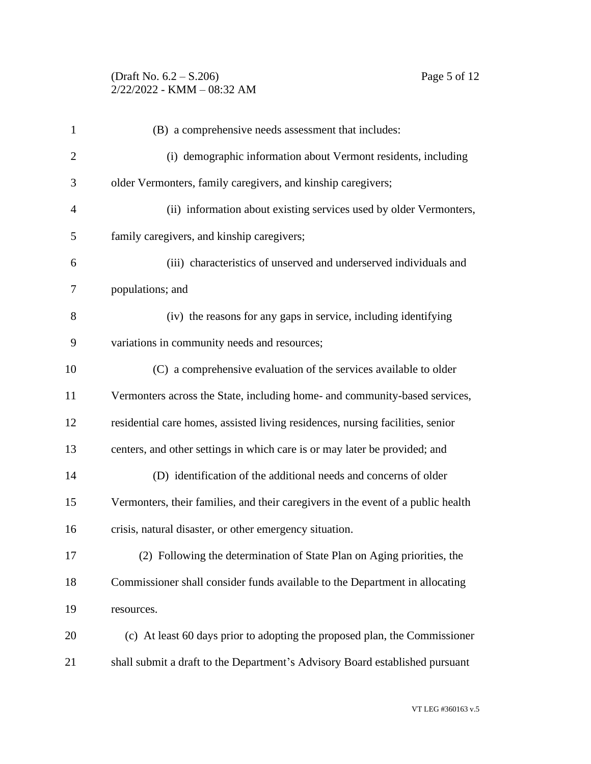# (Draft No. 6.2 – S.206) Page 5 of 12 2/22/2022 - KMM – 08:32 AM

| $\mathbf{1}$   | (B) a comprehensive needs assessment that includes:                              |
|----------------|----------------------------------------------------------------------------------|
| $\overline{2}$ | (i) demographic information about Vermont residents, including                   |
| 3              | older Vermonters, family caregivers, and kinship caregivers;                     |
| $\overline{4}$ | (ii) information about existing services used by older Vermonters,               |
| 5              | family caregivers, and kinship caregivers;                                       |
| 6              | (iii) characteristics of unserved and underserved individuals and                |
| 7              | populations; and                                                                 |
| 8              | (iv) the reasons for any gaps in service, including identifying                  |
| 9              | variations in community needs and resources;                                     |
| 10             | (C) a comprehensive evaluation of the services available to older                |
| 11             | Vermonters across the State, including home- and community-based services,       |
| 12             | residential care homes, assisted living residences, nursing facilities, senior   |
| 13             | centers, and other settings in which care is or may later be provided; and       |
| 14             | (D) identification of the additional needs and concerns of older                 |
| 15             | Vermonters, their families, and their caregivers in the event of a public health |
| 16             | crisis, natural disaster, or other emergency situation.                          |
| 17             | (2) Following the determination of State Plan on Aging priorities, the           |
| 18             | Commissioner shall consider funds available to the Department in allocating      |
| 19             | resources.                                                                       |
| 20             | (c) At least 60 days prior to adopting the proposed plan, the Commissioner       |
| 21             | shall submit a draft to the Department's Advisory Board established pursuant     |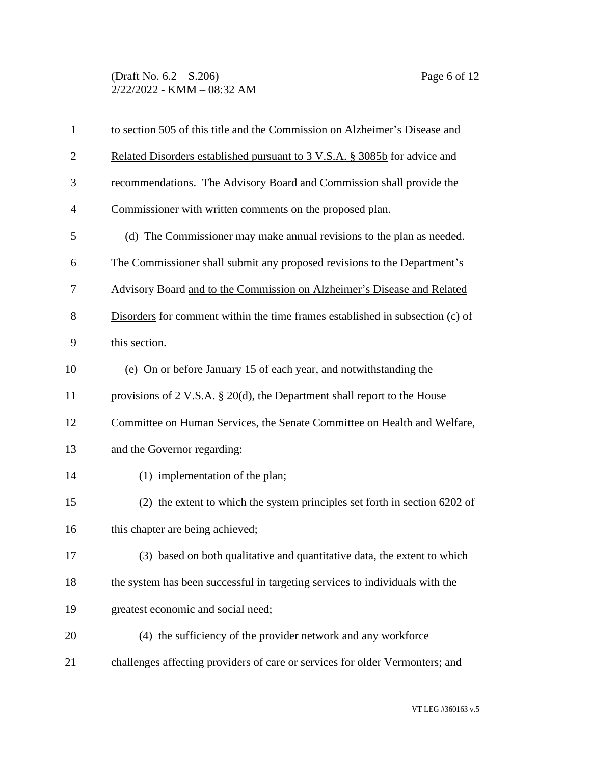| $\mathbf{1}$   | to section 505 of this title and the Commission on Alzheimer's Disease and    |
|----------------|-------------------------------------------------------------------------------|
| $\overline{2}$ | Related Disorders established pursuant to 3 V.S.A. § 3085b for advice and     |
| 3              | recommendations. The Advisory Board and Commission shall provide the          |
| $\overline{4}$ | Commissioner with written comments on the proposed plan.                      |
| 5              | (d) The Commissioner may make annual revisions to the plan as needed.         |
| 6              | The Commissioner shall submit any proposed revisions to the Department's      |
| 7              | Advisory Board and to the Commission on Alzheimer's Disease and Related       |
| 8              | Disorders for comment within the time frames established in subsection (c) of |
| 9              | this section.                                                                 |
| 10             | (e) On or before January 15 of each year, and notwithstanding the             |
| 11             | provisions of 2 V.S.A. $\S$ 20(d), the Department shall report to the House   |
| 12             | Committee on Human Services, the Senate Committee on Health and Welfare,      |
| 13             | and the Governor regarding:                                                   |
| 14             | (1) implementation of the plan;                                               |
| 15             | (2) the extent to which the system principles set forth in section 6202 of    |
| 16             | this chapter are being achieved;                                              |
| 17             | (3) based on both qualitative and quantitative data, the extent to which      |
| 18             | the system has been successful in targeting services to individuals with the  |
| 19             | greatest economic and social need;                                            |
| 20             | (4) the sufficiency of the provider network and any workforce                 |
| 21             | challenges affecting providers of care or services for older Vermonters; and  |
|                |                                                                               |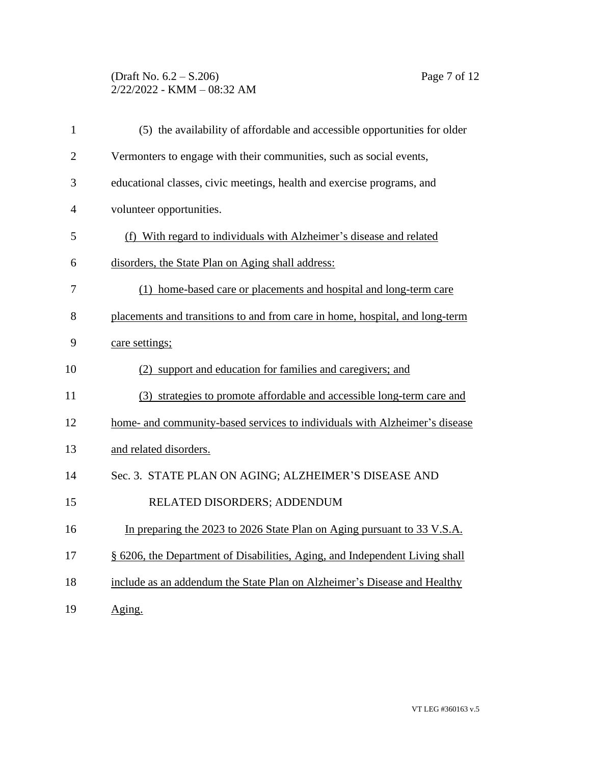# (Draft No. 6.2 – S.206) Page 7 of 12 2/22/2022 - KMM – 08:32 AM

| $\mathbf{1}$   | (5) the availability of affordable and accessible opportunities for older    |
|----------------|------------------------------------------------------------------------------|
| $\overline{2}$ | Vermonters to engage with their communities, such as social events,          |
| 3              | educational classes, civic meetings, health and exercise programs, and       |
| 4              | volunteer opportunities.                                                     |
| 5              | (f) With regard to individuals with Alzheimer's disease and related          |
| 6              | disorders, the State Plan on Aging shall address:                            |
| 7              | (1) home-based care or placements and hospital and long-term care            |
| 8              | placements and transitions to and from care in home, hospital, and long-term |
| 9              | care settings;                                                               |
| 10             | (2) support and education for families and caregivers; and                   |
| 11             | (3) strategies to promote affordable and accessible long-term care and       |
| 12             | home- and community-based services to individuals with Alzheimer's disease   |
| 13             | and related disorders.                                                       |
| 14             | Sec. 3. STATE PLAN ON AGING; ALZHEIMER'S DISEASE AND                         |
| 15             | RELATED DISORDERS; ADDENDUM                                                  |
| 16             | In preparing the 2023 to 2026 State Plan on Aging pursuant to 33 V.S.A.      |
| 17             | § 6206, the Department of Disabilities, Aging, and Independent Living shall  |
| 18             | include as an addendum the State Plan on Alzheimer's Disease and Healthy     |
| 19             | Aging.                                                                       |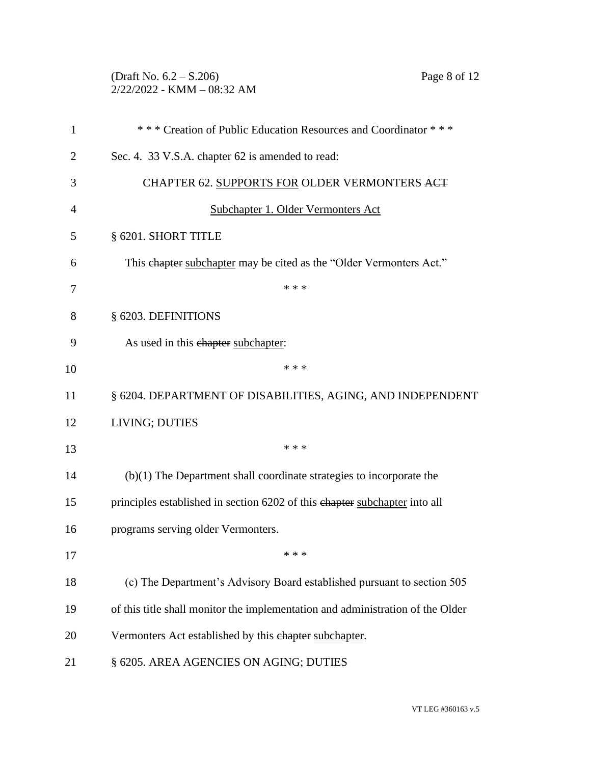# (Draft No. 6.2 – S.206) Page 8 of 12 2/22/2022 - KMM – 08:32 AM

| 1              | *** Creation of Public Education Resources and Coordinator ***                 |
|----------------|--------------------------------------------------------------------------------|
| $\overline{2}$ | Sec. 4. 33 V.S.A. chapter 62 is amended to read:                               |
| 3              | CHAPTER 62. SUPPORTS FOR OLDER VERMONTERS ACT                                  |
| 4              | Subchapter 1. Older Vermonters Act                                             |
| 5              | § 6201. SHORT TITLE                                                            |
| 6              | This ehapter subchapter may be cited as the "Older Vermonters Act."            |
| 7              | * * *                                                                          |
| 8              | § 6203. DEFINITIONS                                                            |
| 9              | As used in this ehapter subchapter:                                            |
| 10             | * * *                                                                          |
| 11             | § 6204. DEPARTMENT OF DISABILITIES, AGING, AND INDEPENDENT                     |
| 12             | LIVING; DUTIES                                                                 |
| 13             | * * *                                                                          |
| 14             | $(b)(1)$ The Department shall coordinate strategies to incorporate the         |
| 15             | principles established in section 6202 of this chapter subchapter into all     |
| 16             | programs serving older Vermonters.                                             |
| 17             | * * *                                                                          |
| 18             | (c) The Department's Advisory Board established pursuant to section 505        |
| 19             | of this title shall monitor the implementation and administration of the Older |
| 20             | Vermonters Act established by this ehapter subchapter.                         |
| 21             | § 6205. AREA AGENCIES ON AGING; DUTIES                                         |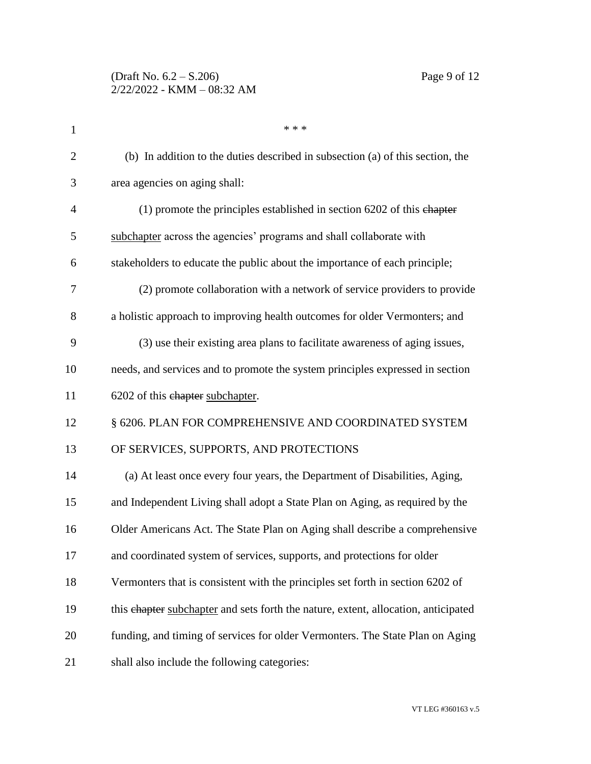| $\mathbf{1}$   | * * *                                                                              |
|----------------|------------------------------------------------------------------------------------|
| $\overline{2}$ | (b) In addition to the duties described in subsection (a) of this section, the     |
| 3              | area agencies on aging shall:                                                      |
| $\overline{4}$ | $(1)$ promote the principles established in section 6202 of this chapter           |
| 5              | subchapter across the agencies' programs and shall collaborate with                |
| 6              | stakeholders to educate the public about the importance of each principle;         |
| 7              | (2) promote collaboration with a network of service providers to provide           |
| 8              | a holistic approach to improving health outcomes for older Vermonters; and         |
| 9              | (3) use their existing area plans to facilitate awareness of aging issues,         |
| 10             | needs, and services and to promote the system principles expressed in section      |
| 11             | 6202 of this chapter subchapter.                                                   |
| 12             | § 6206. PLAN FOR COMPREHENSIVE AND COORDINATED SYSTEM                              |
| 13             | OF SERVICES, SUPPORTS, AND PROTECTIONS                                             |
| 14             | (a) At least once every four years, the Department of Disabilities, Aging,         |
| 15             | and Independent Living shall adopt a State Plan on Aging, as required by the       |
| 16             | Older Americans Act. The State Plan on Aging shall describe a comprehensive        |
| 17             | and coordinated system of services, supports, and protections for older            |
| 18             | Vermonters that is consistent with the principles set forth in section 6202 of     |
| 19             | this ehapter subchapter and sets forth the nature, extent, allocation, anticipated |
| 20             | funding, and timing of services for older Vermonters. The State Plan on Aging      |
| 21             | shall also include the following categories:                                       |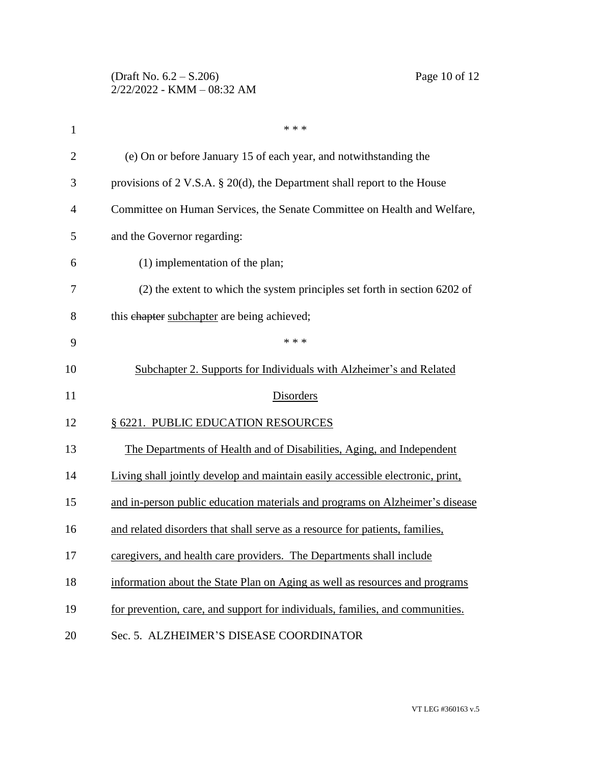| 1              | * * *                                                                          |
|----------------|--------------------------------------------------------------------------------|
| $\overline{2}$ | (e) On or before January 15 of each year, and notwithstanding the              |
| 3              | provisions of 2 V.S.A. $\S$ 20(d), the Department shall report to the House    |
| 4              | Committee on Human Services, the Senate Committee on Health and Welfare,       |
| 5              | and the Governor regarding:                                                    |
| 6              | $(1)$ implementation of the plan;                                              |
| 7              | (2) the extent to which the system principles set forth in section 6202 of     |
| 8              | this ehapter subchapter are being achieved;                                    |
| 9              | * * *                                                                          |
| 10             | Subchapter 2. Supports for Individuals with Alzheimer's and Related            |
| 11             | Disorders                                                                      |
| 12             | § 6221. PUBLIC EDUCATION RESOURCES                                             |
| 13             | The Departments of Health and of Disabilities, Aging, and Independent          |
| 14             | Living shall jointly develop and maintain easily accessible electronic, print, |
| 15             | and in-person public education materials and programs on Alzheimer's disease   |
| 16             | and related disorders that shall serve as a resource for patients, families,   |
| 17             | caregivers, and health care providers. The Departments shall include           |
| 18             | information about the State Plan on Aging as well as resources and programs    |
| 19             | for prevention, care, and support for individuals, families, and communities.  |
| 20             | Sec. 5. ALZHEIMER'S DISEASE COORDINATOR                                        |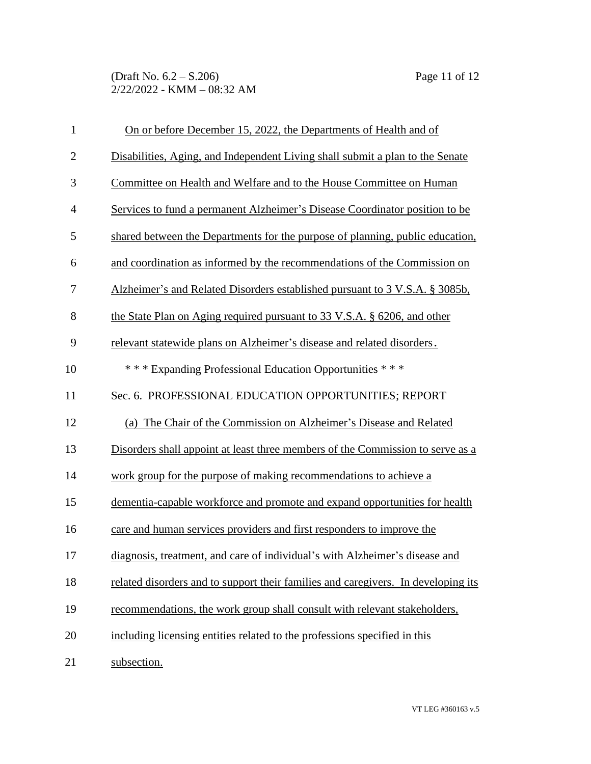| $\mathbf{1}$   | On or before December 15, 2022, the Departments of Health and of                  |
|----------------|-----------------------------------------------------------------------------------|
| $\mathbf{2}$   | Disabilities, Aging, and Independent Living shall submit a plan to the Senate     |
| 3              | Committee on Health and Welfare and to the House Committee on Human               |
| $\overline{4}$ | Services to fund a permanent Alzheimer's Disease Coordinator position to be       |
| 5              | shared between the Departments for the purpose of planning, public education,     |
| 6              | and coordination as informed by the recommendations of the Commission on          |
| 7              | Alzheimer's and Related Disorders established pursuant to 3 V.S.A. § 3085b,       |
| 8              | the State Plan on Aging required pursuant to 33 V.S.A. § 6206, and other          |
| 9              | relevant statewide plans on Alzheimer's disease and related disorders.            |
| 10             | *** Expanding Professional Education Opportunities ***                            |
| 11             | Sec. 6. PROFESSIONAL EDUCATION OPPORTUNITIES; REPORT                              |
| 12             | (a) The Chair of the Commission on Alzheimer's Disease and Related                |
| 13             | Disorders shall appoint at least three members of the Commission to serve as a    |
| 14             | work group for the purpose of making recommendations to achieve a                 |
| 15             | dementia-capable workforce and promote and expand opportunities for health        |
| 16             | care and human services providers and first responders to improve the             |
| 17             | diagnosis, treatment, and care of individual's with Alzheimer's disease and       |
| 18             | related disorders and to support their families and caregivers. In developing its |
| 19             | recommendations, the work group shall consult with relevant stakeholders,         |
| 20             | including licensing entities related to the professions specified in this         |
| 21             | subsection.                                                                       |